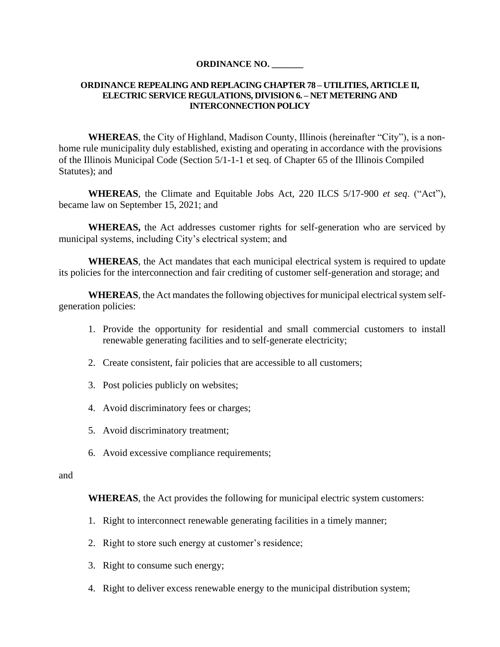#### **ORDINANCE NO. \_\_\_\_\_\_\_**

### **ORDINANCE REPEALING AND REPLACING CHAPTER 78 – UTILITIES, ARTICLE II, ELECTRIC SERVICE REGULATIONS, DIVISION 6. – NET METERING AND INTERCONNECTION POLICY**

**WHEREAS**, the City of Highland, Madison County, Illinois (hereinafter "City"), is a nonhome rule municipality duly established, existing and operating in accordance with the provisions of the Illinois Municipal Code (Section 5/1-1-1 et seq. of Chapter 65 of the Illinois Compiled Statutes); and

**WHEREAS**, the Climate and Equitable Jobs Act, 220 ILCS 5/17-900 *et seq*. ("Act"), became law on September 15, 2021; and

**WHEREAS,** the Act addresses customer rights for self-generation who are serviced by municipal systems, including City's electrical system; and

**WHEREAS**, the Act mandates that each municipal electrical system is required to update its policies for the interconnection and fair crediting of customer self-generation and storage; and

**WHEREAS**, the Act mandates the following objectives for municipal electrical system selfgeneration policies:

- 1. Provide the opportunity for residential and small commercial customers to install renewable generating facilities and to self-generate electricity;
- 2. Create consistent, fair policies that are accessible to all customers;
- 3. Post policies publicly on websites;
- 4. Avoid discriminatory fees or charges;
- 5. Avoid discriminatory treatment;
- 6. Avoid excessive compliance requirements;

#### and

**WHEREAS**, the Act provides the following for municipal electric system customers:

- 1. Right to interconnect renewable generating facilities in a timely manner;
- 2. Right to store such energy at customer's residence;
- 3. Right to consume such energy;
- 4. Right to deliver excess renewable energy to the municipal distribution system;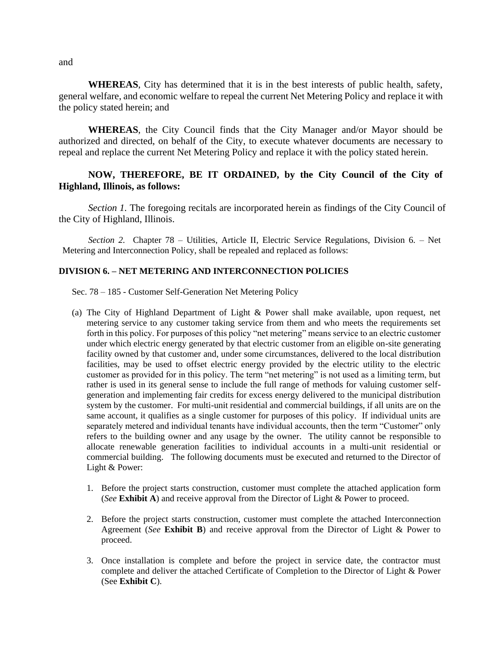**WHEREAS**, City has determined that it is in the best interests of public health, safety, general welfare, and economic welfare to repeal the current Net Metering Policy and replace it with the policy stated herein; and

**WHEREAS**, the City Council finds that the City Manager and/or Mayor should be authorized and directed, on behalf of the City, to execute whatever documents are necessary to repeal and replace the current Net Metering Policy and replace it with the policy stated herein.

### **NOW, THEREFORE, BE IT ORDAINED, by the City Council of the City of Highland, Illinois, as follows:**

*Section 1.* The foregoing recitals are incorporated herein as findings of the City Council of the City of Highland, Illinois.

*Section 2.* Chapter 78 – Utilities, Article II, Electric Service Regulations, Division 6. – Net Metering and Interconnection Policy, shall be repealed and replaced as follows:

### **DIVISION 6. – NET METERING AND INTERCONNECTION POLICIES**

Sec. 78 – 185 - Customer Self-Generation Net Metering Policy

- (a) The City of Highland Department of Light & Power shall make available, upon request, net metering service to any customer taking service from them and who meets the requirements set forth in this policy. For purposes of this policy "net metering" means service to an electric customer under which electric energy generated by that electric customer from an eligible on-site generating facility owned by that customer and, under some circumstances, delivered to the local distribution facilities, may be used to offset electric energy provided by the electric utility to the electric customer as provided for in this policy. The term "net metering" is not used as a limiting term, but rather is used in its general sense to include the full range of methods for valuing customer selfgeneration and implementing fair credits for excess energy delivered to the municipal distribution system by the customer. For multi-unit residential and commercial buildings, if all units are on the same account, it qualifies as a single customer for purposes of this policy. If individual units are separately metered and individual tenants have individual accounts, then the term "Customer" only refers to the building owner and any usage by the owner. The utility cannot be responsible to allocate renewable generation facilities to individual accounts in a multi-unit residential or commercial building. The following documents must be executed and returned to the Director of Light & Power:
	- 1. Before the project starts construction, customer must complete the attached application form (*See* **Exhibit A**) and receive approval from the Director of Light & Power to proceed.
	- 2. Before the project starts construction, customer must complete the attached Interconnection Agreement (*See* **Exhibit B**) and receive approval from the Director of Light & Power to proceed.
	- 3. Once installation is complete and before the project in service date, the contractor must complete and deliver the attached Certificate of Completion to the Director of Light & Power (See **Exhibit C**).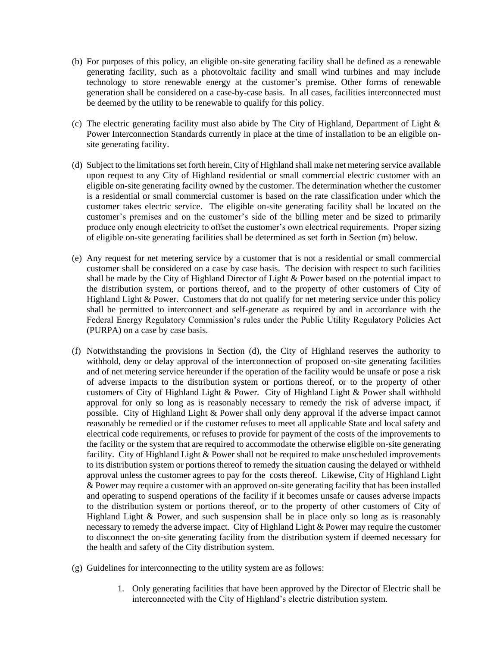- (b) For purposes of this policy, an eligible on-site generating facility shall be defined as a renewable generating facility, such as a photovoltaic facility and small wind turbines and may include technology to store renewable energy at the customer's premise. Other forms of renewable generation shall be considered on a case-by-case basis. In all cases, facilities interconnected must be deemed by the utility to be renewable to qualify for this policy.
- (c) The electric generating facility must also abide by The City of Highland, Department of Light & Power Interconnection Standards currently in place at the time of installation to be an eligible onsite generating facility.
- (d) Subject to the limitations set forth herein, City of Highland shall make net metering service available upon request to any City of Highland residential or small commercial electric customer with an eligible on-site generating facility owned by the customer. The determination whether the customer is a residential or small commercial customer is based on the rate classification under which the customer takes electric service. The eligible on-site generating facility shall be located on the customer's premises and on the customer's side of the billing meter and be sized to primarily produce only enough electricity to offset the customer's own electrical requirements. Proper sizing of eligible on-site generating facilities shall be determined as set forth in Section (m) below.
- (e) Any request for net metering service by a customer that is not a residential or small commercial customer shall be considered on a case by case basis. The decision with respect to such facilities shall be made by the City of Highland Director of Light & Power based on the potential impact to the distribution system, or portions thereof, and to the property of other customers of City of Highland Light & Power. Customers that do not qualify for net metering service under this policy shall be permitted to interconnect and self-generate as required by and in accordance with the Federal Energy Regulatory Commission's rules under the Public Utility Regulatory Policies Act (PURPA) on a case by case basis.
- (f) Notwithstanding the provisions in Section (d), the City of Highland reserves the authority to withhold, deny or delay approval of the interconnection of proposed on-site generating facilities and of net metering service hereunder if the operation of the facility would be unsafe or pose a risk of adverse impacts to the distribution system or portions thereof, or to the property of other customers of City of Highland Light & Power. City of Highland Light & Power shall withhold approval for only so long as is reasonably necessary to remedy the risk of adverse impact, if possible. City of Highland Light & Power shall only deny approval if the adverse impact cannot reasonably be remedied or if the customer refuses to meet all applicable State and local safety and electrical code requirements, or refuses to provide for payment of the costs of the improvements to the facility or the system that are required to accommodate the otherwise eligible on-site generating facility. City of Highland Light & Power shall not be required to make unscheduled improvements to its distribution system or portions thereof to remedy the situation causing the delayed or withheld approval unless the customer agrees to pay for the costs thereof. Likewise, City of Highland Light & Power may require a customer with an approved on-site generating facility that has been installed and operating to suspend operations of the facility if it becomes unsafe or causes adverse impacts to the distribution system or portions thereof, or to the property of other customers of City of Highland Light & Power, and such suspension shall be in place only so long as is reasonably necessary to remedy the adverse impact. City of Highland Light & Power may require the customer to disconnect the on-site generating facility from the distribution system if deemed necessary for the health and safety of the City distribution system.
- (g) Guidelines for interconnecting to the utility system are as follows:
	- 1. Only generating facilities that have been approved by the Director of Electric shall be interconnected with the City of Highland's electric distribution system.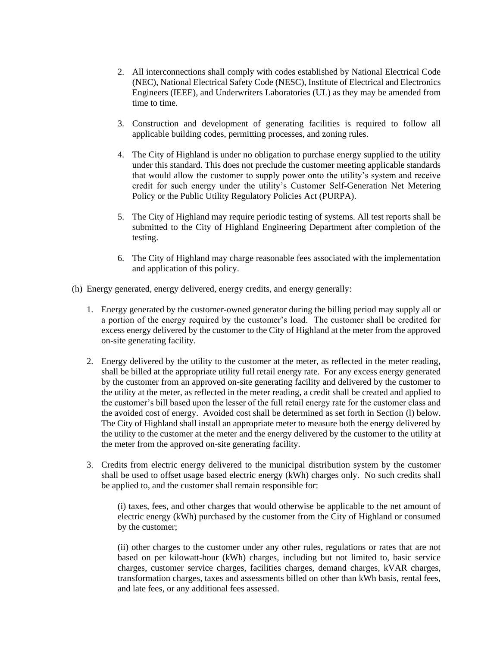- 2. All interconnections shall comply with codes established by National Electrical Code (NEC), National Electrical Safety Code (NESC), Institute of Electrical and Electronics Engineers (IEEE), and Underwriters Laboratories (UL) as they may be amended from time to time.
- 3. Construction and development of generating facilities is required to follow all applicable building codes, permitting processes, and zoning rules.
- 4. The City of Highland is under no obligation to purchase energy supplied to the utility under this standard. This does not preclude the customer meeting applicable standards that would allow the customer to supply power onto the utility's system and receive credit for such energy under the utility's Customer Self-Generation Net Metering Policy or the Public Utility Regulatory Policies Act (PURPA).
- 5. The City of Highland may require periodic testing of systems. All test reports shall be submitted to the City of Highland Engineering Department after completion of the testing.
- 6. The City of Highland may charge reasonable fees associated with the implementation and application of this policy.
- (h) Energy generated, energy delivered, energy credits, and energy generally:
	- 1. Energy generated by the customer-owned generator during the billing period may supply all or a portion of the energy required by the customer's load. The customer shall be credited for excess energy delivered by the customer to the City of Highland at the meter from the approved on-site generating facility.
	- 2. Energy delivered by the utility to the customer at the meter, as reflected in the meter reading, shall be billed at the appropriate utility full retail energy rate. For any excess energy generated by the customer from an approved on-site generating facility and delivered by the customer to the utility at the meter, as reflected in the meter reading, a credit shall be created and applied to the customer's bill based upon the lesser of the full retail energy rate for the customer class and the avoided cost of energy. Avoided cost shall be determined as set forth in Section (l) below. The City of Highland shall install an appropriate meter to measure both the energy delivered by the utility to the customer at the meter and the energy delivered by the customer to the utility at the meter from the approved on-site generating facility.
	- 3. Credits from electric energy delivered to the municipal distribution system by the customer shall be used to offset usage based electric energy (kWh) charges only. No such credits shall be applied to, and the customer shall remain responsible for:

(i) taxes, fees, and other charges that would otherwise be applicable to the net amount of electric energy (kWh) purchased by the customer from the City of Highland or consumed by the customer;

(ii) other charges to the customer under any other rules, regulations or rates that are not based on per kilowatt-hour (kWh) charges, including but not limited to, basic service charges, customer service charges, facilities charges, demand charges, kVAR charges, transformation charges, taxes and assessments billed on other than kWh basis, rental fees, and late fees, or any additional fees assessed.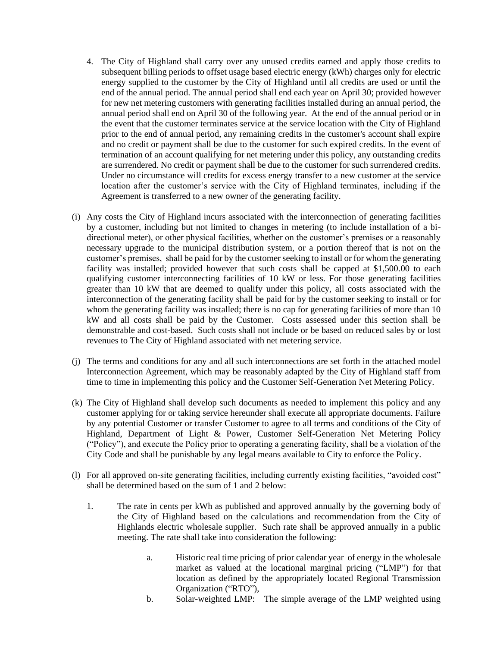- 4. The City of Highland shall carry over any unused credits earned and apply those credits to subsequent billing periods to offset usage based electric energy (kWh) charges only for electric energy supplied to the customer by the City of Highland until all credits are used or until the end of the annual period. The annual period shall end each year on April 30; provided however for new net metering customers with generating facilities installed during an annual period, the annual period shall end on April 30 of the following year. At the end of the annual period or in the event that the customer terminates service at the service location with the City of Highland prior to the end of annual period, any remaining credits in the customer's account shall expire and no credit or payment shall be due to the customer for such expired credits. In the event of termination of an account qualifying for net metering under this policy, any outstanding credits are surrendered. No credit or payment shall be due to the customer for such surrendered credits. Under no circumstance will credits for excess energy transfer to a new customer at the service location after the customer's service with the City of Highland terminates, including if the Agreement is transferred to a new owner of the generating facility.
- (i) Any costs the City of Highland incurs associated with the interconnection of generating facilities by a customer, including but not limited to changes in metering (to include installation of a bidirectional meter), or other physical facilities, whether on the customer's premises or a reasonably necessary upgrade to the municipal distribution system, or a portion thereof that is not on the customer's premises, shall be paid for by the customer seeking to install or for whom the generating facility was installed; provided however that such costs shall be capped at \$1,500.00 to each qualifying customer interconnecting facilities of 10 kW or less. For those generating facilities greater than 10 kW that are deemed to qualify under this policy, all costs associated with the interconnection of the generating facility shall be paid for by the customer seeking to install or for whom the generating facility was installed; there is no cap for generating facilities of more than 10 kW and all costs shall be paid by the Customer. Costs assessed under this section shall be demonstrable and cost-based. Such costs shall not include or be based on reduced sales by or lost revenues to The City of Highland associated with net metering service.
- (j) The terms and conditions for any and all such interconnections are set forth in the attached model Interconnection Agreement, which may be reasonably adapted by the City of Highland staff from time to time in implementing this policy and the Customer Self-Generation Net Metering Policy.
- (k) The City of Highland shall develop such documents as needed to implement this policy and any customer applying for or taking service hereunder shall execute all appropriate documents. Failure by any potential Customer or transfer Customer to agree to all terms and conditions of the City of Highland, Department of Light & Power, Customer Self-Generation Net Metering Policy ("Policy"), and execute the Policy prior to operating a generating facility, shall be a violation of the City Code and shall be punishable by any legal means available to City to enforce the Policy.
- (l) For all approved on-site generating facilities, including currently existing facilities, "avoided cost" shall be determined based on the sum of 1 and 2 below:
	- 1. The rate in cents per kWh as published and approved annually by the governing body of the City of Highland based on the calculations and recommendation from the City of Highlands electric wholesale supplier. Such rate shall be approved annually in a public meeting. The rate shall take into consideration the following:
		- a. Historic real time pricing of prior calendar year of energy in the wholesale market as valued at the locational marginal pricing ("LMP") for that location as defined by the appropriately located Regional Transmission Organization ("RTO"),
		- b. Solar-weighted LMP: The simple average of the LMP weighted using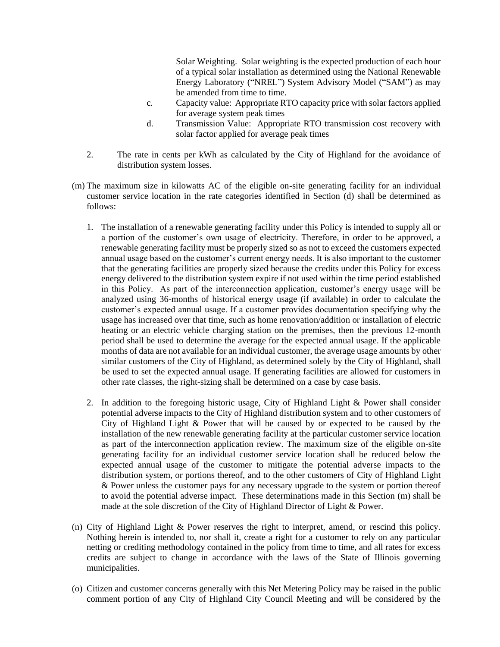Solar Weighting. Solar weighting is the expected production of each hour of a typical solar installation as determined using the National Renewable Energy Laboratory ("NREL") System Advisory Model ("SAM") as may be amended from time to time.

- c. Capacity value: Appropriate RTO capacity price with solar factors applied for average system peak times
- d. Transmission Value: Appropriate RTO transmission cost recovery with solar factor applied for average peak times
- 2. The rate in cents per kWh as calculated by the City of Highland for the avoidance of distribution system losses.
- (m) The maximum size in kilowatts AC of the eligible on-site generating facility for an individual customer service location in the rate categories identified in Section (d) shall be determined as follows:
	- 1. The installation of a renewable generating facility under this Policy is intended to supply all or a portion of the customer's own usage of electricity. Therefore, in order to be approved, a renewable generating facility must be properly sized so as not to exceed the customers expected annual usage based on the customer's current energy needs. It is also important to the customer that the generating facilities are properly sized because the credits under this Policy for excess energy delivered to the distribution system expire if not used within the time period established in this Policy. As part of the interconnection application, customer's energy usage will be analyzed using 36-months of historical energy usage (if available) in order to calculate the customer's expected annual usage. If a customer provides documentation specifying why the usage has increased over that time, such as home renovation/addition or installation of electric heating or an electric vehicle charging station on the premises, then the previous 12-month period shall be used to determine the average for the expected annual usage. If the applicable months of data are not available for an individual customer, the average usage amounts by other similar customers of the City of Highland, as determined solely by the City of Highland, shall be used to set the expected annual usage. If generating facilities are allowed for customers in other rate classes, the right-sizing shall be determined on a case by case basis.
	- 2. In addition to the foregoing historic usage, City of Highland Light & Power shall consider potential adverse impacts to the City of Highland distribution system and to other customers of City of Highland Light & Power that will be caused by or expected to be caused by the installation of the new renewable generating facility at the particular customer service location as part of the interconnection application review. The maximum size of the eligible on-site generating facility for an individual customer service location shall be reduced below the expected annual usage of the customer to mitigate the potential adverse impacts to the distribution system, or portions thereof, and to the other customers of City of Highland Light & Power unless the customer pays for any necessary upgrade to the system or portion thereof to avoid the potential adverse impact. These determinations made in this Section (m) shall be made at the sole discretion of the City of Highland Director of Light & Power.
- (n) City of Highland Light & Power reserves the right to interpret, amend, or rescind this policy. Nothing herein is intended to, nor shall it, create a right for a customer to rely on any particular netting or crediting methodology contained in the policy from time to time, and all rates for excess credits are subject to change in accordance with the laws of the State of Illinois governing municipalities.
- (o) Citizen and customer concerns generally with this Net Metering Policy may be raised in the public comment portion of any City of Highland City Council Meeting and will be considered by the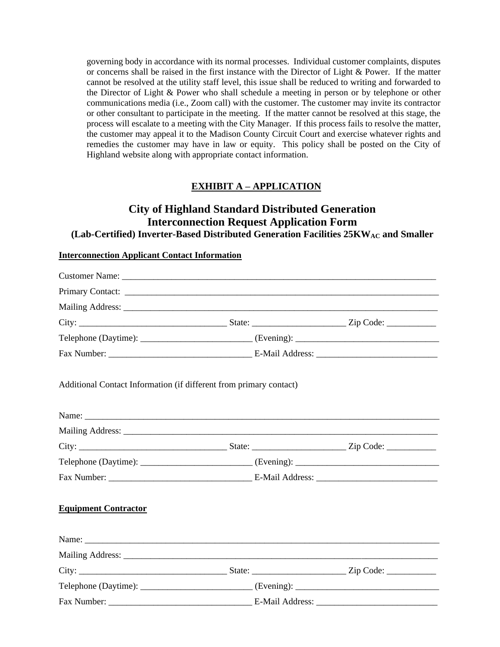governing body in accordance with its normal processes. Individual customer complaints, disputes or concerns shall be raised in the first instance with the Director of Light & Power. If the matter cannot be resolved at the utility staff level, this issue shall be reduced to writing and forwarded to the Director of Light & Power who shall schedule a meeting in person or by telephone or other communications media (i.e., Zoom call) with the customer. The customer may invite its contractor or other consultant to participate in the meeting. If the matter cannot be resolved at this stage, the process will escalate to a meeting with the City Manager. If this process fails to resolve the matter, the customer may appeal it to the Madison County Circuit Court and exercise whatever rights and remedies the customer may have in law or equity. This policy shall be posted on the City of Highland website along with appropriate contact information.

### **EXHIBIT A – APPLICATION**

### **City of Highland Standard Distributed Generation Interconnection Request Application Form**  (Lab-Certified) Inverter-Based Distributed Generation Facilities 25KW<sub>AC</sub> and Smaller

#### **Interconnection Applicant Contact Information**

| Primary Contact:                                                                                                                                                                                                               |  |
|--------------------------------------------------------------------------------------------------------------------------------------------------------------------------------------------------------------------------------|--|
|                                                                                                                                                                                                                                |  |
|                                                                                                                                                                                                                                |  |
|                                                                                                                                                                                                                                |  |
|                                                                                                                                                                                                                                |  |
| Additional Contact Information (if different from primary contact)                                                                                                                                                             |  |
|                                                                                                                                                                                                                                |  |
| Mailing Address: National Address: National Address: National Address: National Address: National Address: National Address: National Address: National Address: National Address: National Address: National Address: Nationa |  |
|                                                                                                                                                                                                                                |  |
|                                                                                                                                                                                                                                |  |
|                                                                                                                                                                                                                                |  |
| <b>Equipment Contractor</b>                                                                                                                                                                                                    |  |
|                                                                                                                                                                                                                                |  |
|                                                                                                                                                                                                                                |  |
|                                                                                                                                                                                                                                |  |
|                                                                                                                                                                                                                                |  |
|                                                                                                                                                                                                                                |  |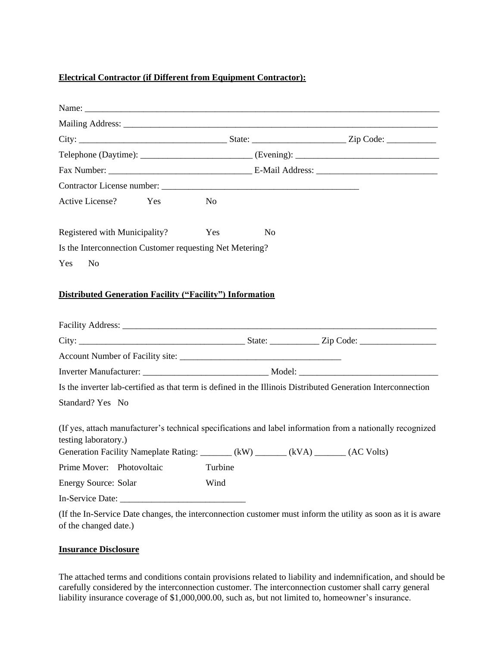### **Electrical Contractor (if Different from Equipment Contractor):**

| Active License? Yes                                             | N <sub>o</sub> |                |  |
|-----------------------------------------------------------------|----------------|----------------|--|
|                                                                 |                |                |  |
| Registered with Municipality?                                   | Yes            | N <sub>0</sub> |  |
| Is the Interconnection Customer requesting Net Metering?        |                |                |  |
| Yes No                                                          |                |                |  |
|                                                                 |                |                |  |
| <b>Distributed Generation Facility ("Facility") Information</b> |                |                |  |
|                                                                 |                |                |  |
|                                                                 |                |                |  |

| Turbine |                                                                                                                                                                                                                                                                                                                  |
|---------|------------------------------------------------------------------------------------------------------------------------------------------------------------------------------------------------------------------------------------------------------------------------------------------------------------------|
| Wind    |                                                                                                                                                                                                                                                                                                                  |
|         |                                                                                                                                                                                                                                                                                                                  |
|         | Is the inverter lab-certified as that term is defined in the Illinois Distributed Generation Interconnection<br>(If yes, attach manufacturer's technical specifications and label information from a nationally recognized<br>Generation Facility Nameplate Rating: _______ (kW) _______ (kVA) ______ (AC Volts) |

(If the In-Service Date changes, the interconnection customer must inform the utility as soon as it is aware of the changed date.)

### **Insurance Disclosure**

The attached terms and conditions contain provisions related to liability and indemnification, and should be carefully considered by the interconnection customer. The interconnection customer shall carry general liability insurance coverage of \$1,000,000.00, such as, but not limited to, homeowner's insurance.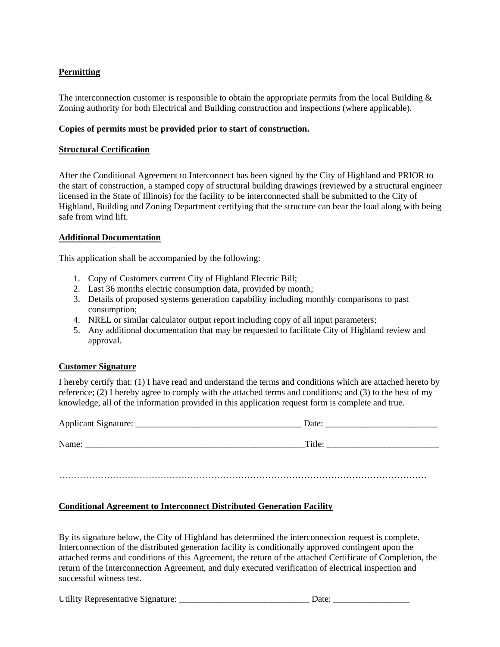### **Permitting**

The interconnection customer is responsible to obtain the appropriate permits from the local Building  $\&$ Zoning authority for both Electrical and Building construction and inspections (where applicable).

### **Copies of permits must be provided prior to start of construction.**

### **Structural Certification**

After the Conditional Agreement to Interconnect has been signed by the City of Highland and PRIOR to the start of construction, a stamped copy of structural building drawings (reviewed by a structural engineer licensed in the State of Illinois) for the facility to be interconnected shall be submitted to the City of Highland, Building and Zoning Department certifying that the structure can bear the load along with being safe from wind lift.

### **Additional Documentation**

This application shall be accompanied by the following:

- 1. Copy of Customers current City of Highland Electric Bill;
- 2. Last 36 months electric consumption data, provided by month;
- 3. Details of proposed systems generation capability including monthly comparisons to past consumption;
- 4. NREL or similar calculator output report including copy of all input parameters;
- 5. Any additional documentation that may be requested to facilitate City of Highland review and approval.

### **Customer Signature**

I hereby certify that: (1) I have read and understand the terms and conditions which are attached hereto by reference; (2) I hereby agree to comply with the attached terms and conditions; and (3) to the best of my knowledge, all of the information provided in this application request form is complete and true.

| Applicant Signature: | Date:  |
|----------------------|--------|
| Name:                | Title: |
|                      |        |

……………………………………………………………………………………………………………

### **Conditional Agreement to Interconnect Distributed Generation Facility**

By its signature below, the City of Highland has determined the interconnection request is complete. Interconnection of the distributed generation facility is conditionally approved contingent upon the attached terms and conditions of this Agreement, the return of the attached Certificate of Completion, the return of the Interconnection Agreement, and duly executed verification of electrical inspection and successful witness test.

Utility Representative Signature: \_\_\_\_\_\_\_\_\_\_\_\_\_\_\_\_\_\_\_\_\_\_\_\_\_\_\_\_\_ Date: \_\_\_\_\_\_\_\_\_\_\_\_\_\_\_\_\_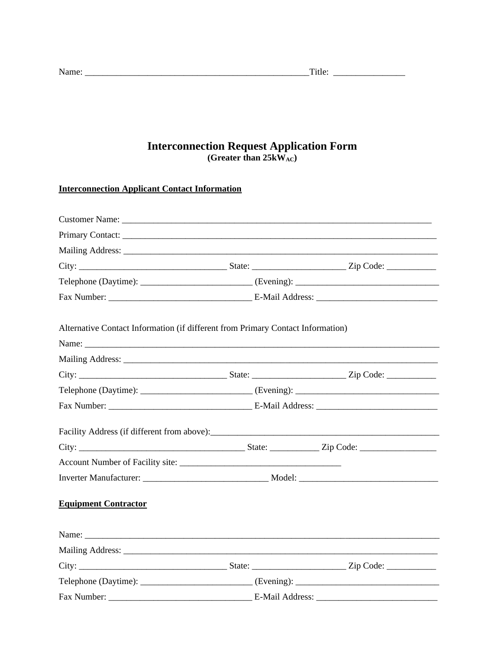# **Interconnection Request Application Form**<br>(Greater than 25kW<sub>AC</sub>)

### **Interconnection Applicant Contact Information**

| Telephone (Daytime): _________________________________(Evening): ___________________________________ |  |  |  |
|------------------------------------------------------------------------------------------------------|--|--|--|
|                                                                                                      |  |  |  |
| Alternative Contact Information (if different from Primary Contact Information)                      |  |  |  |
|                                                                                                      |  |  |  |
|                                                                                                      |  |  |  |
|                                                                                                      |  |  |  |
| Telephone (Daytime): _________________________________(Evening): ___________________________________ |  |  |  |
|                                                                                                      |  |  |  |
|                                                                                                      |  |  |  |
|                                                                                                      |  |  |  |
|                                                                                                      |  |  |  |
|                                                                                                      |  |  |  |
| <b>Equipment Contractor</b>                                                                          |  |  |  |
| Name:                                                                                                |  |  |  |
|                                                                                                      |  |  |  |
|                                                                                                      |  |  |  |
| Telephone (Daytime): _________________________________(Evening): ___________________________________ |  |  |  |
|                                                                                                      |  |  |  |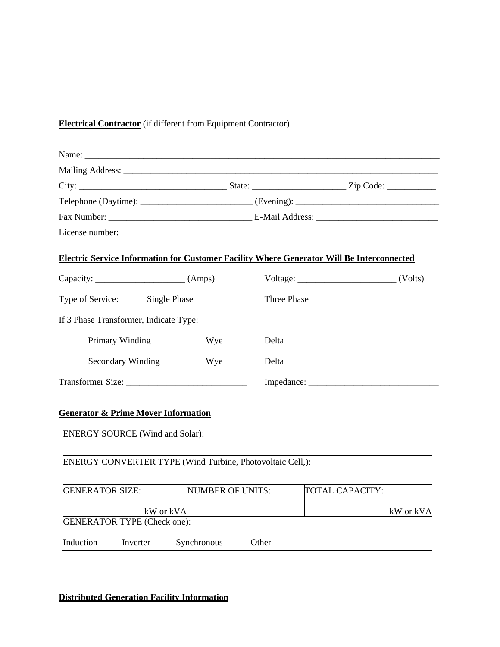## **Electrical Contractor** (if different from Equipment Contractor)

| <b>Electric Service Information for Customer Facility Where Generator Will Be Interconnected</b> |                         |                    |                             |
|--------------------------------------------------------------------------------------------------|-------------------------|--------------------|-----------------------------|
|                                                                                                  |                         |                    | $Voltage: ________ (Volts)$ |
| Type of Service: Single Phase                                                                    |                         | <b>Three Phase</b> |                             |
| If 3 Phase Transformer, Indicate Type:                                                           |                         |                    |                             |
| Primary Winding                                                                                  | Wye                     | Delta              |                             |
| Secondary Winding                                                                                | Wye                     | Delta              |                             |
| Transformer Size:                                                                                |                         |                    |                             |
| <b>Generator &amp; Prime Mover Information</b><br><b>ENERGY SOURCE</b> (Wind and Solar):         |                         |                    |                             |
| ENERGY CONVERTER TYPE (Wind Turbine, Photovoltaic Cell,):                                        |                         |                    |                             |
| <b>GENERATOR SIZE:</b>                                                                           | <b>NUMBER OF UNITS:</b> |                    | TOTAL CAPACITY:             |
| <b>GENERATOR TYPE (Check one):</b>                                                               | kW or kVA               |                    | kW or kVA                   |
| Induction<br>Inverter                                                                            | Synchronous             | Other              |                             |

### **Distributed Generation Facility Information**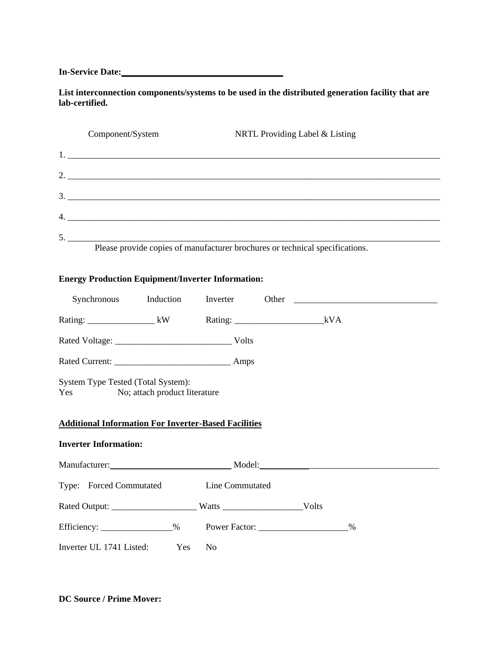**In-Service Date:\_\_\_\_\_\_\_\_\_\_\_\_\_\_\_\_\_\_\_\_\_\_\_\_\_\_\_\_\_\_\_\_\_\_\_\_**

**List interconnection components/systems to be used in the distributed generation facility that are lab-certified.**

| Component/System | NRTL Providing Label & Listing                                               |
|------------------|------------------------------------------------------------------------------|
|                  |                                                                              |
| 2.               |                                                                              |
|                  |                                                                              |
|                  |                                                                              |
| 5.               |                                                                              |
|                  | Please provide copies of manufacturer brochures or technical specifications. |

### **Energy Production Equipment/Inverter Information:**

| Synchronous Induction                                                                                                                  |                |                                                                                   |
|----------------------------------------------------------------------------------------------------------------------------------------|----------------|-----------------------------------------------------------------------------------|
|                                                                                                                                        |                |                                                                                   |
|                                                                                                                                        |                |                                                                                   |
|                                                                                                                                        |                |                                                                                   |
| System Type Tested (Total System):<br>Yes No; attach product literature<br><b>Additional Information For Inverter-Based Facilities</b> |                |                                                                                   |
| <b>Inverter Information:</b>                                                                                                           |                |                                                                                   |
|                                                                                                                                        |                | Manufacturer: Model: Model: Model: Model: Model: Model: Manufacturer: Model: 2012 |
| Type: Forced Commutated Line Commutated                                                                                                |                |                                                                                   |
|                                                                                                                                        |                |                                                                                   |
|                                                                                                                                        |                | %                                                                                 |
| Inverter UL 1741 Listed: Yes                                                                                                           | N <sub>0</sub> |                                                                                   |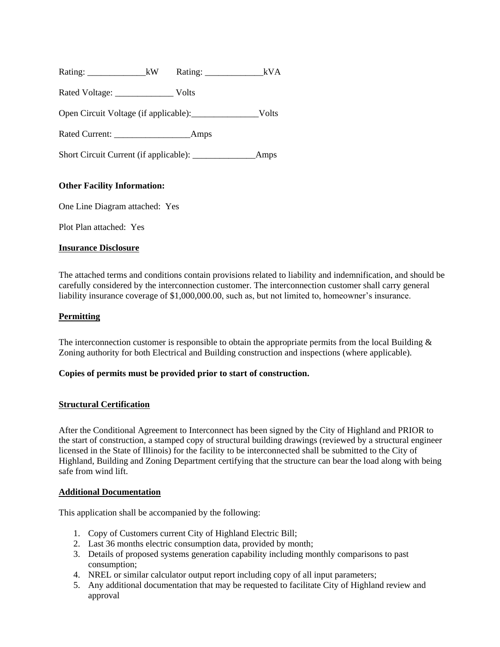| Rating: | kW | Rating: |  |
|---------|----|---------|--|

Rated Voltage: \_\_\_\_\_\_\_\_\_\_\_\_\_\_\_\_\_ Volts

Open Circuit Voltage (if applicable):\_\_\_\_\_\_\_\_\_\_\_\_\_\_\_Volts

Rated Current: \_\_\_\_\_\_\_\_\_\_\_\_\_\_\_\_\_Amps

Short Circuit Current (if applicable): Amps

### **Other Facility Information:**

One Line Diagram attached: Yes

Plot Plan attached: Yes

### **Insurance Disclosure**

The attached terms and conditions contain provisions related to liability and indemnification, and should be carefully considered by the interconnection customer. The interconnection customer shall carry general liability insurance coverage of \$1,000,000.00, such as, but not limited to, homeowner's insurance.

### **Permitting**

The interconnection customer is responsible to obtain the appropriate permits from the local Building  $\&$ Zoning authority for both Electrical and Building construction and inspections (where applicable).

### **Copies of permits must be provided prior to start of construction.**

### **Structural Certification**

After the Conditional Agreement to Interconnect has been signed by the City of Highland and PRIOR to the start of construction, a stamped copy of structural building drawings (reviewed by a structural engineer licensed in the State of Illinois) for the facility to be interconnected shall be submitted to the City of Highland, Building and Zoning Department certifying that the structure can bear the load along with being safe from wind lift.

### **Additional Documentation**

This application shall be accompanied by the following:

- 1. Copy of Customers current City of Highland Electric Bill;
- 2. Last 36 months electric consumption data, provided by month;
- 3. Details of proposed systems generation capability including monthly comparisons to past consumption;
- 4. NREL or similar calculator output report including copy of all input parameters;
- 5. Any additional documentation that may be requested to facilitate City of Highland review and approval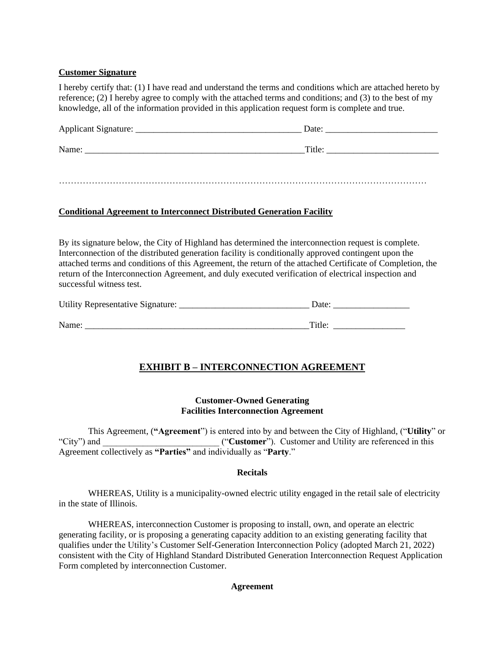### **Customer Signature**

I hereby certify that: (1) I have read and understand the terms and conditions which are attached hereto by reference; (2) I hereby agree to comply with the attached terms and conditions; and (3) to the best of my knowledge, all of the information provided in this application request form is complete and true.

| Applicant Signature: | Date:  |
|----------------------|--------|
| Name:                | Title: |
|                      |        |

……………………………………………………………………………………………………………

### **Conditional Agreement to Interconnect Distributed Generation Facility**

By its signature below, the City of Highland has determined the interconnection request is complete. Interconnection of the distributed generation facility is conditionally approved contingent upon the attached terms and conditions of this Agreement, the return of the attached Certificate of Completion, the return of the Interconnection Agreement, and duly executed verification of electrical inspection and successful witness test.

| Utility Representative Signature: | Date <sup>-</sup> |
|-----------------------------------|-------------------|
|                                   |                   |
| Name:                             | Title:            |

### **EXHIBIT B – INTERCONNECTION AGREEMENT**

### **Customer-Owned Generating Facilities Interconnection Agreement**

This Agreement, (**"Agreement**") is entered into by and between the City of Highland, ("**Utility**" or "City") and ("**Customer**"). Customer and Utility are referenced in this Agreement collectively as **"Parties"** and individually as "**Party**."

### **Recitals**

WHEREAS, Utility is a municipality-owned electric utility engaged in the retail sale of electricity in the state of Illinois.

WHEREAS, interconnection Customer is proposing to install, own, and operate an electric generating facility, or is proposing a generating capacity addition to an existing generating facility that qualifies under the Utility's Customer Self-Generation Interconnection Policy (adopted March 21, 2022) consistent with the City of Highland Standard Distributed Generation Interconnection Request Application Form completed by interconnection Customer.

### **Agreement**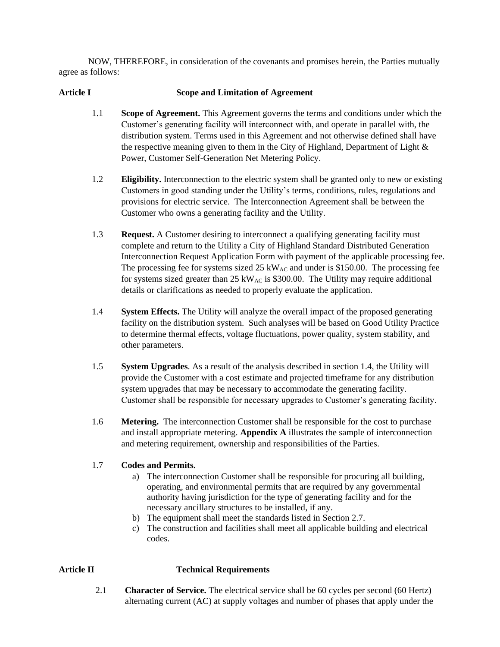NOW, THEREFORE, in consideration of the covenants and promises herein, the Parties mutually agree as follows:

### **Article I Scope and Limitation of Agreement**

- 1.1 **Scope of Agreement.** This Agreement governs the terms and conditions under which the Customer's generating facility will interconnect with, and operate in parallel with, the distribution system. Terms used in this Agreement and not otherwise defined shall have the respective meaning given to them in the City of Highland, Department of Light  $\&$ Power, Customer Self-Generation Net Metering Policy.
- 1.2 **Eligibility.** Interconnection to the electric system shall be granted only to new or existing Customers in good standing under the Utility's terms, conditions, rules, regulations and provisions for electric service. The Interconnection Agreement shall be between the Customer who owns a generating facility and the Utility.
- 1.3 **Request.** A Customer desiring to interconnect a qualifying generating facility must complete and return to the Utility a City of Highland Standard Distributed Generation Interconnection Request Application Form with payment of the applicable processing fee. The processing fee for systems sized  $25 \text{ kW}_{AC}$  and under is \$150.00. The processing fee for systems sized greater than  $25 \text{ kW}_{AC}$  is \$300.00. The Utility may require additional details or clarifications as needed to properly evaluate the application.
- 1.4 **System Effects.** The Utility will analyze the overall impact of the proposed generating facility on the distribution system. Such analyses will be based on Good Utility Practice to determine thermal effects, voltage fluctuations, power quality, system stability, and other parameters.
- 1.5 **System Upgrades**. As a result of the analysis described in section 1.4, the Utility will provide the Customer with a cost estimate and projected timeframe for any distribution system upgrades that may be necessary to accommodate the generating facility. Customer shall be responsible for necessary upgrades to Customer's generating facility.
- 1.6 **Metering.** The interconnection Customer shall be responsible for the cost to purchase and install appropriate metering. **Appendix A** illustrates the sample of interconnection and metering requirement, ownership and responsibilities of the Parties.

### 1.7 **Codes and Permits.**

- a) The interconnection Customer shall be responsible for procuring all building, operating, and environmental permits that are required by any governmental authority having jurisdiction for the type of generating facility and for the necessary ancillary structures to be installed, if any.
- b) The equipment shall meet the standards listed in Section 2.7.
- c) The construction and facilities shall meet all applicable building and electrical codes.

### **Article II Technical Requirements**

- 
- 2.1 **Character of Service.** The electrical service shall be 60 cycles per second (60 Hertz) alternating current (AC) at supply voltages and number of phases that apply under the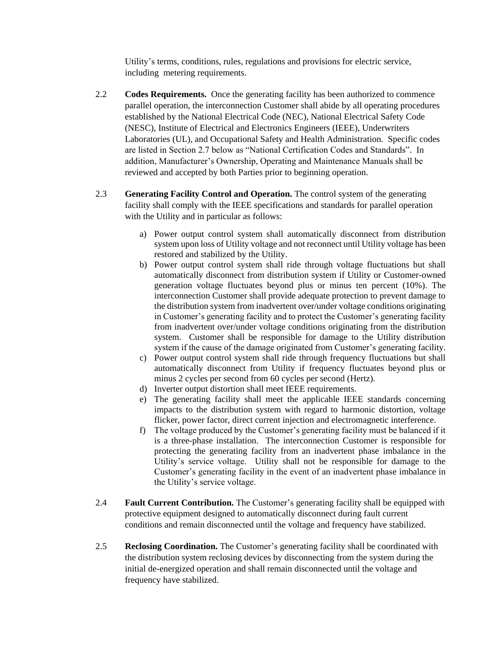Utility's terms, conditions, rules, regulations and provisions for electric service, including metering requirements.

- 2.2 **Codes Requirements.** Once the generating facility has been authorized to commence parallel operation, the interconnection Customer shall abide by all operating procedures established by the National Electrical Code (NEC), National Electrical Safety Code (NESC), Institute of Electrical and Electronics Engineers (IEEE), Underwriters Laboratories (UL), and Occupational Safety and Health Administration. Specific codes are listed in Section 2.7 below as "National Certification Codes and Standards". In addition, Manufacturer's Ownership, Operating and Maintenance Manuals shall be reviewed and accepted by both Parties prior to beginning operation.
- 2.3 **Generating Facility Control and Operation.** The control system of the generating facility shall comply with the IEEE specifications and standards for parallel operation with the Utility and in particular as follows:
	- a) Power output control system shall automatically disconnect from distribution system upon loss of Utility voltage and not reconnect until Utility voltage has been restored and stabilized by the Utility.
	- b) Power output control system shall ride through voltage fluctuations but shall automatically disconnect from distribution system if Utility or Customer-owned generation voltage fluctuates beyond plus or minus ten percent (10%). The interconnection Customer shall provide adequate protection to prevent damage to the distribution system from inadvertent over/under voltage conditions originating in Customer's generating facility and to protect the Customer's generating facility from inadvertent over/under voltage conditions originating from the distribution system. Customer shall be responsible for damage to the Utility distribution system if the cause of the damage originated from Customer's generating facility.
	- c) Power output control system shall ride through frequency fluctuations but shall automatically disconnect from Utility if frequency fluctuates beyond plus or minus 2 cycles per second from 60 cycles per second (Hertz).
	- d) Inverter output distortion shall meet IEEE requirements.
	- e) The generating facility shall meet the applicable IEEE standards concerning impacts to the distribution system with regard to harmonic distortion, voltage flicker, power factor, direct current injection and electromagnetic interference.
	- f) The voltage produced by the Customer's generating facility must be balanced if it is a three-phase installation. The interconnection Customer is responsible for protecting the generating facility from an inadvertent phase imbalance in the Utility's service voltage. Utility shall not be responsible for damage to the Customer's generating facility in the event of an inadvertent phase imbalance in the Utility's service voltage.
- 2.4 **Fault Current Contribution.** The Customer's generating facility shall be equipped with protective equipment designed to automatically disconnect during fault current conditions and remain disconnected until the voltage and frequency have stabilized.
- 2.5 **Reclosing Coordination.** The Customer's generating facility shall be coordinated with the distribution system reclosing devices by disconnecting from the system during the initial de-energized operation and shall remain disconnected until the voltage and frequency have stabilized.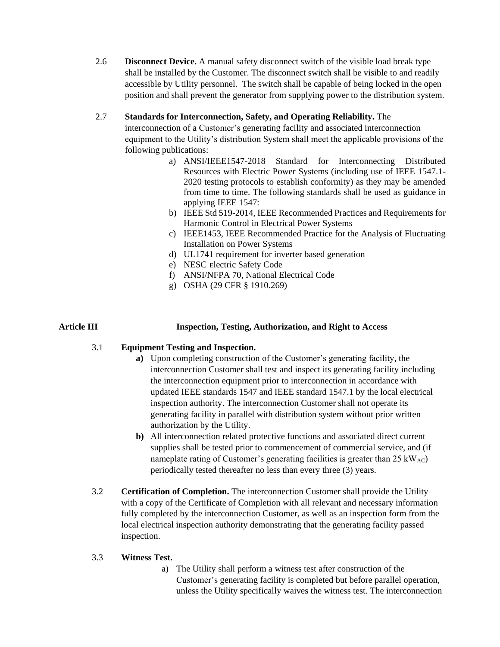2.6 **Disconnect Device.** A manual safety disconnect switch of the visible load break type shall be installed by the Customer. The disconnect switch shall be visible to and readily accessible by Utility personnel. The switch shall be capable of being locked in the open position and shall prevent the generator from supplying power to the distribution system.

### 2.7 **Standards for Interconnection, Safety, and Operating Reliability.** The

interconnection of a Customer's generating facility and associated interconnection equipment to the Utility's distribution System shall meet the applicable provisions of the following publications:

- a) ANSI/IEEE1547-2018 Standard for Interconnecting Distributed Resources with Electric Power Systems (including use of IEEE 1547.1- 2020 testing protocols to establish conformity) as they may be amended from time to time. The following standards shall be used as guidance in applying IEEE 1547:
- b) IEEE Std 519-2014, IEEE Recommended Practices and Requirements for Harmonic Control in Electrical Power Systems
- c) IEEE1453, IEEE Recommended Practice for the Analysis of Fluctuating Installation on Power Systems
- d) UL1741 requirement for inverter based generation
- e) NESC Electric Safety Code
- f) ANSI/NFPA 70, National Electrical Code
- g) OSHA (29 CFR § 1910.269)

### **Article III Inspection, Testing, Authorization, and Right to Access**

### 3.1 **Equipment Testing and Inspection.**

- **a)** Upon completing construction of the Customer's generating facility, the interconnection Customer shall test and inspect its generating facility including the interconnection equipment prior to interconnection in accordance with updated IEEE standards 1547 and IEEE standard 1547.1 by the local electrical inspection authority. The interconnection Customer shall not operate its generating facility in parallel with distribution system without prior written authorization by the Utility.
- **b)** All interconnection related protective functions and associated direct current supplies shall be tested prior to commencement of commercial service, and (if nameplate rating of Customer's generating facilities is greater than  $25 \text{ kW}_{AC}$ ) periodically tested thereafter no less than every three (3) years.
- 3.2 **Certification of Completion.** The interconnection Customer shall provide the Utility with a copy of the Certificate of Completion with all relevant and necessary information fully completed by the interconnection Customer, as well as an inspection form from the local electrical inspection authority demonstrating that the generating facility passed inspection.

### 3.3 **Witness Test.**

a) The Utility shall perform a witness test after construction of the Customer's generating facility is completed but before parallel operation, unless the Utility specifically waives the witness test. The interconnection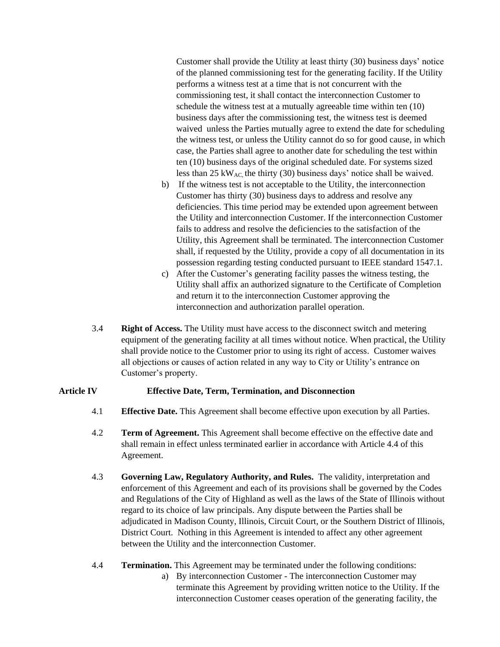Customer shall provide the Utility at least thirty (30) business days' notice of the planned commissioning test for the generating facility. If the Utility performs a witness test at a time that is not concurrent with the commissioning test, it shall contact the interconnection Customer to schedule the witness test at a mutually agreeable time within ten (10) business days after the commissioning test, the witness test is deemed waived unless the Parties mutually agree to extend the date for scheduling the witness test, or unless the Utility cannot do so for good cause, in which case, the Parties shall agree to another date for scheduling the test within ten (10) business days of the original scheduled date. For systems sized less than 25 kW<sub>AC</sub>, the thirty (30) business days' notice shall be waived.

- b) If the witness test is not acceptable to the Utility, the interconnection Customer has thirty (30) business days to address and resolve any deficiencies. This time period may be extended upon agreement between the Utility and interconnection Customer. If the interconnection Customer fails to address and resolve the deficiencies to the satisfaction of the Utility, this Agreement shall be terminated. The interconnection Customer shall, if requested by the Utility, provide a copy of all documentation in its possession regarding testing conducted pursuant to IEEE standard 1547.1.
- c) After the Customer's generating facility passes the witness testing, the Utility shall affix an authorized signature to the Certificate of Completion and return it to the interconnection Customer approving the interconnection and authorization parallel operation.
- 3.4 **Right of Access.** The Utility must have access to the disconnect switch and metering equipment of the generating facility at all times without notice. When practical, the Utility shall provide notice to the Customer prior to using its right of access. Customer waives all objections or causes of action related in any way to City or Utility's entrance on Customer's property.

### **Article IV Effective Date, Term, Termination, and Disconnection**

- 4.1 **Effective Date.** This Agreement shall become effective upon execution by all Parties.
- 4.2 **Term of Agreement.** This Agreement shall become effective on the effective date and shall remain in effect unless terminated earlier in accordance with Article 4.4 of this Agreement.
- 4.3 **Governing Law, Regulatory Authority, and Rules.** The validity, interpretation and enforcement of this Agreement and each of its provisions shall be governed by the Codes and Regulations of the City of Highland as well as the laws of the State of Illinois without regard to its choice of law principals. Any dispute between the Parties shall be adjudicated in Madison County, Illinois, Circuit Court, or the Southern District of Illinois, District Court. Nothing in this Agreement is intended to affect any other agreement between the Utility and the interconnection Customer.
- 4.4 **Termination.** This Agreement may be terminated under the following conditions:
	- a) By interconnection Customer The interconnection Customer may terminate this Agreement by providing written notice to the Utility. If the interconnection Customer ceases operation of the generating facility, the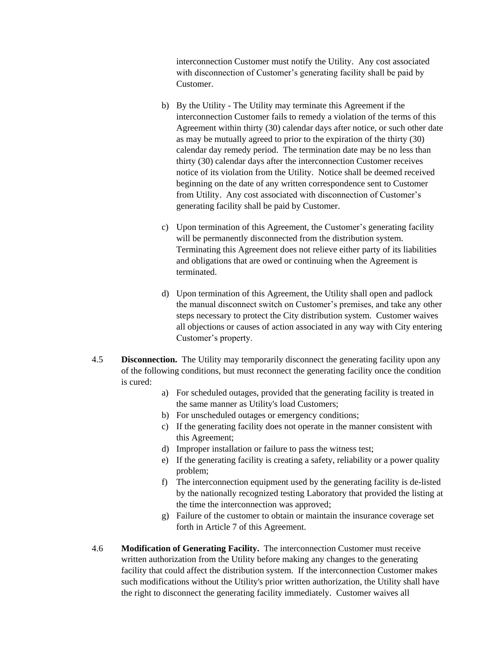interconnection Customer must notify the Utility. Any cost associated with disconnection of Customer's generating facility shall be paid by Customer.

- b) By the Utility The Utility may terminate this Agreement if the interconnection Customer fails to remedy a violation of the terms of this Agreement within thirty (30) calendar days after notice, or such other date as may be mutually agreed to prior to the expiration of the thirty (30) calendar day remedy period. The termination date may be no less than thirty (30) calendar days after the interconnection Customer receives notice of its violation from the Utility. Notice shall be deemed received beginning on the date of any written correspondence sent to Customer from Utility. Any cost associated with disconnection of Customer's generating facility shall be paid by Customer.
- c) Upon termination of this Agreement, the Customer's generating facility will be permanently disconnected from the distribution system. Terminating this Agreement does not relieve either party of its liabilities and obligations that are owed or continuing when the Agreement is terminated.
- d) Upon termination of this Agreement, the Utility shall open and padlock the manual disconnect switch on Customer's premises, and take any other steps necessary to protect the City distribution system. Customer waives all objections or causes of action associated in any way with City entering Customer's property.
- 4.5 **Disconnection.** The Utility may temporarily disconnect the generating facility upon any of the following conditions, but must reconnect the generating facility once the condition is cured:
	- a) For scheduled outages, provided that the generating facility is treated in the same manner as Utility's load Customers;
	- b) For unscheduled outages or emergency conditions;
	- c) If the generating facility does not operate in the manner consistent with this Agreement;
	- d) Improper installation or failure to pass the witness test;
	- e) If the generating facility is creating a safety, reliability or a power quality problem;
	- f) The interconnection equipment used by the generating facility is de-listed by the nationally recognized testing Laboratory that provided the listing at the time the interconnection was approved;
	- g) Failure of the customer to obtain or maintain the insurance coverage set forth in Article 7 of this Agreement.
- 4.6 **Modification of Generating Facility.** The interconnection Customer must receive written authorization from the Utility before making any changes to the generating facility that could affect the distribution system. If the interconnection Customer makes such modifications without the Utility's prior written authorization, the Utility shall have the right to disconnect the generating facility immediately. Customer waives all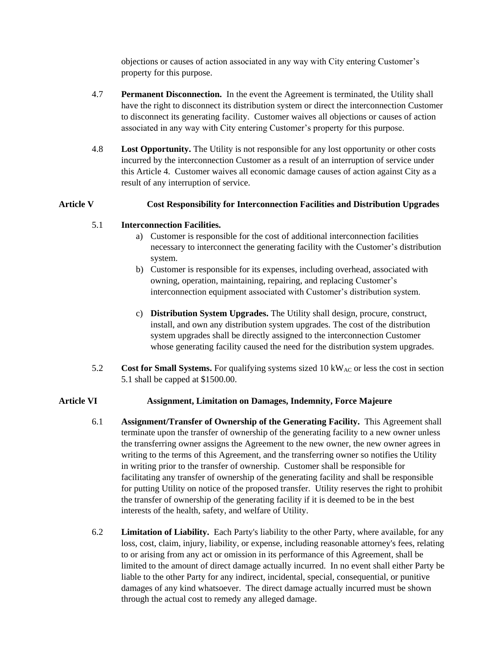objections or causes of action associated in any way with City entering Customer's property for this purpose.

- 4.7 **Permanent Disconnection.** In the event the Agreement is terminated, the Utility shall have the right to disconnect its distribution system or direct the interconnection Customer to disconnect its generating facility. Customer waives all objections or causes of action associated in any way with City entering Customer's property for this purpose.
- 4.8 **Lost Opportunity.** The Utility is not responsible for any lost opportunity or other costs incurred by the interconnection Customer as a result of an interruption of service under this Article 4. Customer waives all economic damage causes of action against City as a result of any interruption of service.

### **Article V Cost Responsibility for Interconnection Facilities and Distribution Upgrades**

### 5.1 **Interconnection Facilities.**

- a) Customer is responsible for the cost of additional interconnection facilities necessary to interconnect the generating facility with the Customer's distribution system.
- b) Customer is responsible for its expenses, including overhead, associated with owning, operation, maintaining, repairing, and replacing Customer's interconnection equipment associated with Customer's distribution system.
- c) **Distribution System Upgrades.** The Utility shall design, procure, construct, install, and own any distribution system upgrades. The cost of the distribution system upgrades shall be directly assigned to the interconnection Customer whose generating facility caused the need for the distribution system upgrades.
- 5.2 **Cost for Small Systems.** For qualifying systems sized 10 kW<sub>AC</sub> or less the cost in section 5.1 shall be capped at \$1500.00.

### **Article VI Assignment, Limitation on Damages, Indemnity, Force Majeure**

- 6.1 **Assignment/Transfer of Ownership of the Generating Facility.** This Agreement shall terminate upon the transfer of ownership of the generating facility to a new owner unless the transferring owner assigns the Agreement to the new owner, the new owner agrees in writing to the terms of this Agreement, and the transferring owner so notifies the Utility in writing prior to the transfer of ownership. Customer shall be responsible for facilitating any transfer of ownership of the generating facility and shall be responsible for putting Utility on notice of the proposed transfer. Utility reserves the right to prohibit the transfer of ownership of the generating facility if it is deemed to be in the best interests of the health, safety, and welfare of Utility.
- 6.2 **Limitation of Liability.** Each Party's liability to the other Party, where available, for any loss, cost, claim, injury, liability, or expense, including reasonable attorney's fees, relating to or arising from any act or omission in its performance of this Agreement, shall be limited to the amount of direct damage actually incurred. In no event shall either Party be liable to the other Party for any indirect, incidental, special, consequential, or punitive damages of any kind whatsoever. The direct damage actually incurred must be shown through the actual cost to remedy any alleged damage.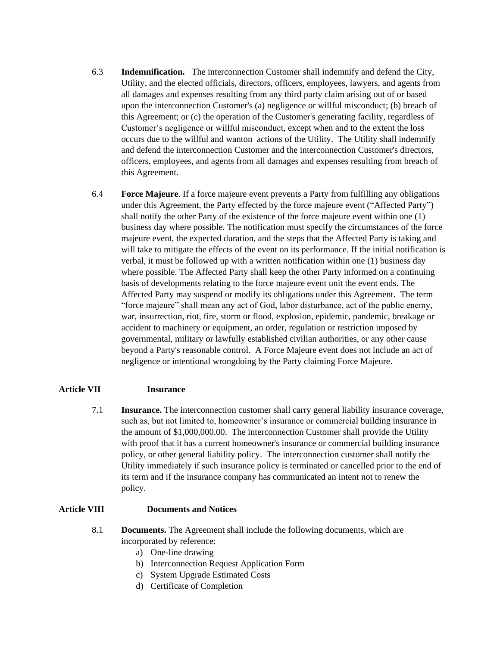- 6.3 **Indemnification.** The interconnection Customer shall indemnify and defend the City, Utility, and the elected officials, directors, officers, employees, lawyers, and agents from all damages and expenses resulting from any third party claim arising out of or based upon the interconnection Customer's (a) negligence or willful misconduct; (b) breach of this Agreement; or (c) the operation of the Customer's generating facility, regardless of Customer's negligence or willful misconduct, except when and to the extent the loss occurs due to the willful and wanton actions of the Utility. The Utility shall indemnify and defend the interconnection Customer and the interconnection Customer's directors, officers, employees, and agents from all damages and expenses resulting from breach of this Agreement.
- 6.4 **Force Majeure**. If a force majeure event prevents a Party from fulfilling any obligations under this Agreement, the Party effected by the force majeure event ("Affected Party") shall notify the other Party of the existence of the force majeure event within one (1) business day where possible. The notification must specify the circumstances of the force majeure event, the expected duration, and the steps that the Affected Party is taking and will take to mitigate the effects of the event on its performance. If the initial notification is verbal, it must be followed up with a written notification within one (1) business day where possible. The Affected Party shall keep the other Party informed on a continuing basis of developments relating to the force majeure event unit the event ends. The Affected Party may suspend or modify its obligations under this Agreement. The term "force majeure" shall mean any act of God, labor disturbance, act of the public enemy, war, insurrection, riot, fire, storm or flood, explosion, epidemic, pandemic, breakage or accident to machinery or equipment, an order, regulation or restriction imposed by governmental, military or lawfully established civilian authorities, or any other cause beyond a Party's reasonable control. A Force Majeure event does not include an act of negligence or intentional wrongdoing by the Party claiming Force Majeure.

### **Article VII Insurance**

7.1 **Insurance.** The interconnection customer shall carry general liability insurance coverage, such as, but not limited to, homeowner's insurance or commercial building insurance in the amount of \$1,000,000.00. The interconnection Customer shall provide the Utility with proof that it has a current homeowner's insurance or commercial building insurance policy, or other general liability policy. The interconnection customer shall notify the Utility immediately if such insurance policy is terminated or cancelled prior to the end of its term and if the insurance company has communicated an intent not to renew the policy.

### **Article VIII Documents and Notices**

- 8.1 **Documents.** The Agreement shall include the following documents, which are incorporated by reference:
	- a) One-line drawing
	- b) Interconnection Request Application Form
	- c) System Upgrade Estimated Costs
	- d) Certificate of Completion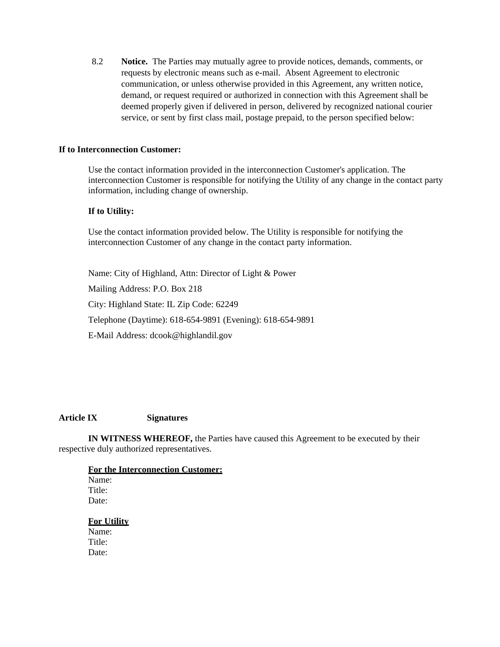8.2 **Notice.** The Parties may mutually agree to provide notices, demands, comments, or requests by electronic means such as e-mail. Absent Agreement to electronic communication, or unless otherwise provided in this Agreement, any written notice, demand, or request required or authorized in connection with this Agreement shall be deemed properly given if delivered in person, delivered by recognized national courier service, or sent by first class mail, postage prepaid, to the person specified below:

#### **If to Interconnection Customer:**

Use the contact information provided in the interconnection Customer's application. The interconnection Customer is responsible for notifying the Utility of any change in the contact party information, including change of ownership.

### **If to Utility:**

Use the contact information provided below. The Utility is responsible for notifying the interconnection Customer of any change in the contact party information.

Name: City of Highland, Attn: Director of Light & Power Mailing Address: P.O. Box 218 City: Highland State: IL Zip Code: 62249 Telephone (Daytime): 618-654-9891 (Evening): 618-654-9891 E-Mail Address: dcook@highlandil.gov

### **Article IX Signatures**

**IN WITNESS WHEREOF,** the Parties have caused this Agreement to be executed by their respective duly authorized representatives.

**For the Interconnection Customer:** Name: Title: Date: **For Utility**

Name: Title<sup>.</sup> Date: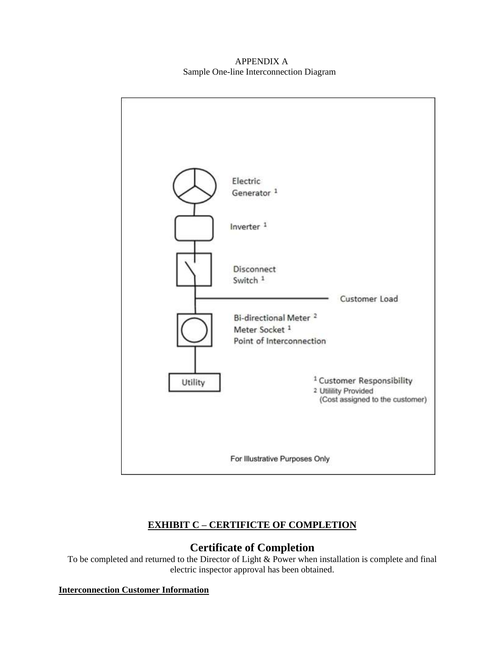APPENDIX A Sample One-line Interconnection Diagram



### **EXHIBIT C – CERTIFICTE OF COMPLETION**

### **Certificate of Completion**

To be completed and returned to the Director of Light & Power when installation is complete and final electric inspector approval has been obtained.

### **Interconnection Customer Information**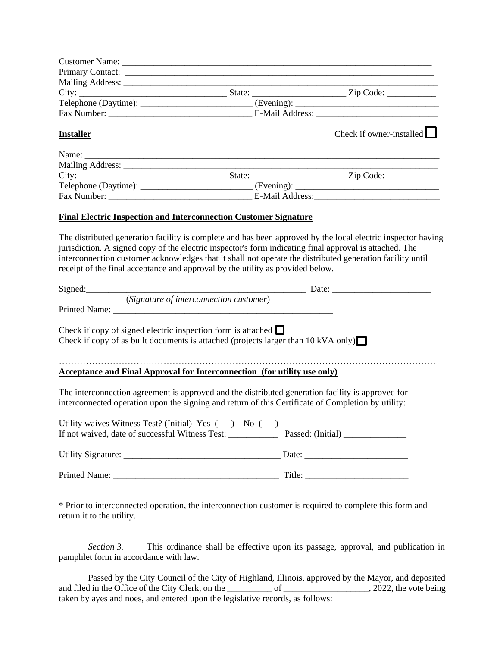| Primary Contact: contact:                                                                                                                                                                               |                                                                                                           |
|---------------------------------------------------------------------------------------------------------------------------------------------------------------------------------------------------------|-----------------------------------------------------------------------------------------------------------|
|                                                                                                                                                                                                         |                                                                                                           |
|                                                                                                                                                                                                         |                                                                                                           |
|                                                                                                                                                                                                         | $\text{Telephone (Daytime):}$ (Evening): (Evening): (Evening):                                            |
|                                                                                                                                                                                                         |                                                                                                           |
| <b>Installer</b>                                                                                                                                                                                        | Check if owner-installed $\Box$                                                                           |
|                                                                                                                                                                                                         |                                                                                                           |
|                                                                                                                                                                                                         |                                                                                                           |
|                                                                                                                                                                                                         |                                                                                                           |
|                                                                                                                                                                                                         |                                                                                                           |
|                                                                                                                                                                                                         |                                                                                                           |
|                                                                                                                                                                                                         |                                                                                                           |
| <b>Final Electric Inspection and Interconnection Customer Signature</b>                                                                                                                                 |                                                                                                           |
| jurisdiction. A signed copy of the electric inspector's form indicating final approval is attached. The<br>receipt of the final acceptance and approval by the utility as provided below.               | interconnection customer acknowledges that it shall not operate the distributed generation facility until |
|                                                                                                                                                                                                         |                                                                                                           |
|                                                                                                                                                                                                         |                                                                                                           |
| Check if copy of signed electric inspection form is attached $\Box$<br>Check if copy of as built documents is attached (projects larger than 10 kVA only) $\Box$                                        |                                                                                                           |
| <b>Acceptance and Final Approval for Interconnection (for utility use only)</b>                                                                                                                         |                                                                                                           |
| The interconnection agreement is approved and the distributed generation facility is approved for<br>interconnected operation upon the signing and return of this Certificate of Completion by utility: |                                                                                                           |
| Utility waives Witness Test? (Initial) Yes $(\_\)$ No $(\_\)$<br>If not waived, date of successful Witness Test: ____________                                                                           | Passed: (Initial)                                                                                         |
|                                                                                                                                                                                                         |                                                                                                           |
|                                                                                                                                                                                                         |                                                                                                           |

\* Prior to interconnected operation, the interconnection customer is required to complete this form and return it to the utility.

*Section 3.* This ordinance shall be effective upon its passage, approval, and publication in pamphlet form in accordance with law.

Passed by the City Council of the City of Highland, Illinois, approved by the Mayor, and deposited and filed in the Office of the City Clerk, on the \_\_\_\_\_\_\_\_\_\_\_ of \_\_\_\_\_\_\_\_\_\_\_\_\_\_\_\_\_, 2022, the vote being taken by ayes and noes, and entered upon the legislative records, as follows: